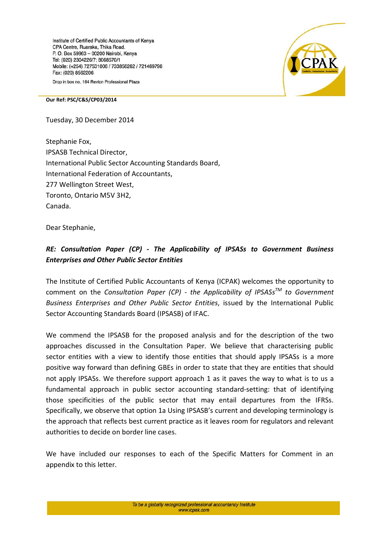Institute of Certified Public Accountants of Kenya CPA Centre, Ruaraka, Thika Road. P. O. Box 59963 - 00200 Nairobi, Kenya Tel: (020) 2304226/7; 8068570/1 Mobile: (+254) 727531006 / 733856262 / 721469796 Fax: (020) 8562206 Drop in box no. 164 Revlon Professional Plaza



## **Our Ref: PSC/C&S/CP03/2014**

Tuesday, 30 December 2014

Stephanie Fox, IPSASB Technical Director, International Public Sector Accounting Standards Board, International Federation of Accountants, 277 Wellington Street West, Toronto, Ontario M5V 3H2, Canada.

Dear Stephanie,

## *RE: Consultation Paper (CP) - The Applicability of IPSASs to Government Business Enterprises and Other Public Sector Entities*

The Institute of Certified Public Accountants of Kenya (ICPAK) welcomes the opportunity to comment on the *Consultation Paper (CP) - the Applicability of IPSASsTM to Government Business Enterprises and Other Public Sector Entities*, issued by the International Public Sector Accounting Standards Board (IPSASB) of IFAC.

We commend the IPSASB for the proposed analysis and for the description of the two approaches discussed in the Consultation Paper. We believe that characterising public sector entities with a view to identify those entities that should apply IPSASs is a more positive way forward than defining GBEs in order to state that they are entities that should not apply IPSASs. We therefore support approach 1 as it paves the way to what is to us a fundamental approach in public sector accounting standard-setting: that of identifying those specificities of the public sector that may entail departures from the IFRSs. Specifically, we observe that option 1a Using IPSASB's current and developing terminology is the approach that reflects best current practice as it leaves room for regulators and relevant authorities to decide on border line cases.

We have included our responses to each of the Specific Matters for Comment in an appendix to this letter.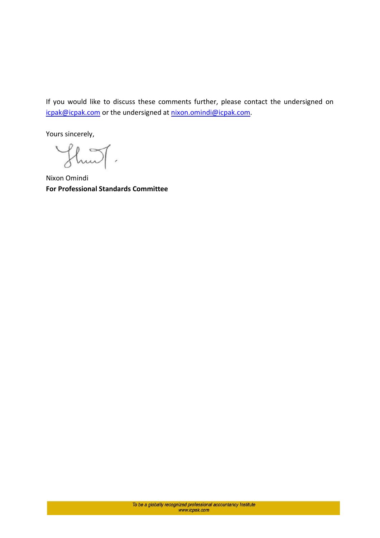If you would like to discuss these comments further, please contact the undersigned on [icpak@icpak.com](mailto:standards@icpak.com) or the undersigned at [nixon.omindi@icpak.com.](mailto:Nixon.omindi@icpak.com)

Yours sincerely,

 $\mathbb{L}\mathbb{I}$ .

Nixon Omindi **For Professional Standards Committee**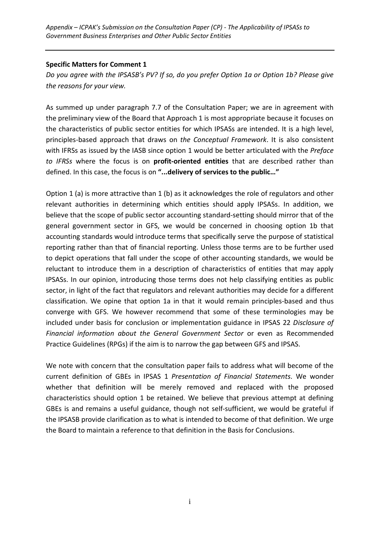*Appendix – ICPAK's Submission on the Consultation Paper (CP) - The Applicability of IPSASs to Government Business Enterprises and Other Public Sector Entities*

## **Specific Matters for Comment 1**

*Do you agree with the IPSASB's PV? If so, do you prefer Option 1a or Option 1b? Please give the reasons for your view.* 

As summed up under paragraph 7.7 of the Consultation Paper; we are in agreement with the preliminary view of the Board that Approach 1 is most appropriate because it focuses on the characteristics of public sector entities for which IPSASs are intended. It is a high level, principles-based approach that draws on *the Conceptual Framework*. It is also consistent with IFRSs as issued by the IASB since option 1 would be better articulated with the *Preface to IFRSs* where the focus is on **profit-oriented entities** that are described rather than defined. In this case, the focus is on **"...delivery of services to the public…"**

Option 1 (a) is more attractive than 1 (b) as it acknowledges the role of regulators and other relevant authorities in determining which entities should apply IPSASs. In addition, we believe that the scope of public sector accounting standard-setting should mirror that of the general government sector in GFS, we would be concerned in choosing option 1b that accounting standards would introduce terms that specifically serve the purpose of statistical reporting rather than that of financial reporting. Unless those terms are to be further used to depict operations that fall under the scope of other accounting standards, we would be reluctant to introduce them in a description of characteristics of entities that may apply IPSASs. In our opinion, introducing those terms does not help classifying entities as public sector, in light of the fact that regulators and relevant authorities may decide for a different classification. We opine that option 1a in that it would remain principles-based and thus converge with GFS. We however recommend that some of these terminologies may be included under basis for conclusion or implementation guidance in IPSAS 22 *Disclosure of Financial information about the General Government Sector* or even as Recommended Practice Guidelines (RPGs) if the aim is to narrow the gap between GFS and IPSAS.

We note with concern that the consultation paper fails to address what will become of the current definition of GBEs in IPSAS 1 *Presentation of Financial Statements*. We wonder whether that definition will be merely removed and replaced with the proposed characteristics should option 1 be retained. We believe that previous attempt at defining GBEs is and remains a useful guidance, though not self-sufficient, we would be grateful if the IPSASB provide clarification as to what is intended to become of that definition. We urge the Board to maintain a reference to that definition in the Basis for Conclusions.